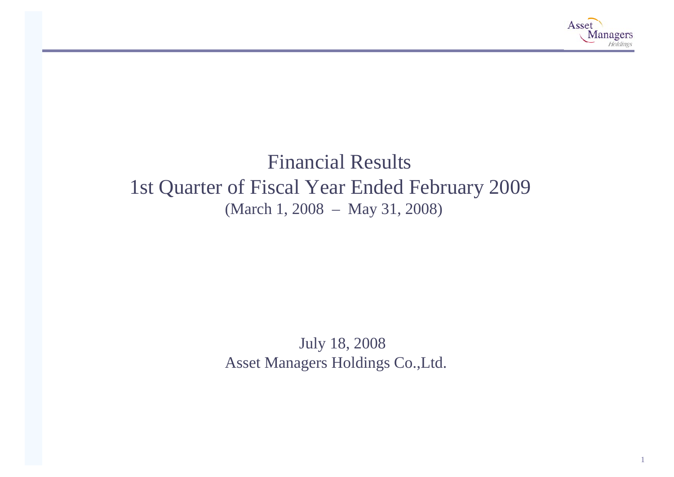

# Financial Results 1st Quarter of Fiscal Year Ended February 2009 (March 1, 2008 – May 31, 2008)

July 18, 2008 Asset Managers Holdings Co.,Ltd.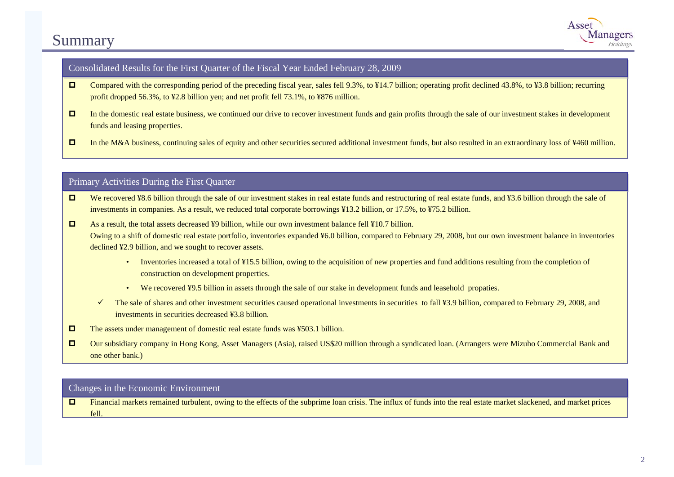# Summary



### Consolidated Results for the First Quarter of the Fiscal Year Ended February 28, 2009

- $\Box$ Compared with the corresponding period of the preceding fiscal year, sales fell 9.3%, to ¥14.7 billion; operating profit declined 43.8%, to ¥3.8 billion; recurring profit dropped 56.3%, to ¥2.8 billion yen; and net profit fell 73.1%, to ¥876 million.
- $\Box$  In the domestic real estate business, we continued our drive to recover investment funds and gain profits through the sale of our investment stakes in development funds and leasing properties.
- $\Box$ In the M&A business, continuing sales of equity and other securities secured additional investment funds, but also resulted in an extraordinary loss of ¥460 million.

### Primary Activities During the First Quarter

- $\Box$ We recovered ¥8.6 billion through the sale of our investment stakes in real estate funds and restructuring of real estate funds, and ¥3.6 billion through the sale of investments in companies. As a result, we reduced total corporate borrowings ¥13.2 billion, or 17.5%, to ¥75.2 billion.
- $\Box$  As a result, the total assets decreased ¥9 billion, while our own investment balance fell ¥10.7 billion. Owing to a shift of domestic real estate portfolio, inventories expanded ¥6.0 billion, compared to February 29, 2008, but our own investment balance in inventories declined ¥2.9 billion, and we sought to recover assets.
	- Inventories increased a total of ¥15.5 billion, owing to the acquisition of new properties and fund additions resulting from the completion of construction on development properties.
	- We recovered ¥9.5 billion in assets through the sale of our stake in development funds and leasehold propaties.
	- $\checkmark$ The sale of shares and other investment securities caused operational investments in securities to fall ¥3.9 billion, compared to February 29, 2008, and investments in securities decreased ¥3.8 billion.
- $\Box$ The assets under management of domestic real estate funds was ¥503.1 billion.
- $\Box$  Our subsidiary company in Hong Kong, Asset Managers (Asia), raised US\$20 million through a syndicated loan. (Arrangers were Mizuho Commercial Bank and one other bank.)

#### Changes in the Economic Environment

□ Financial markets remained turbulent, owing to the effects of the subprime loan crisis. The influx of funds into the real estate market slackened, and market prices fell.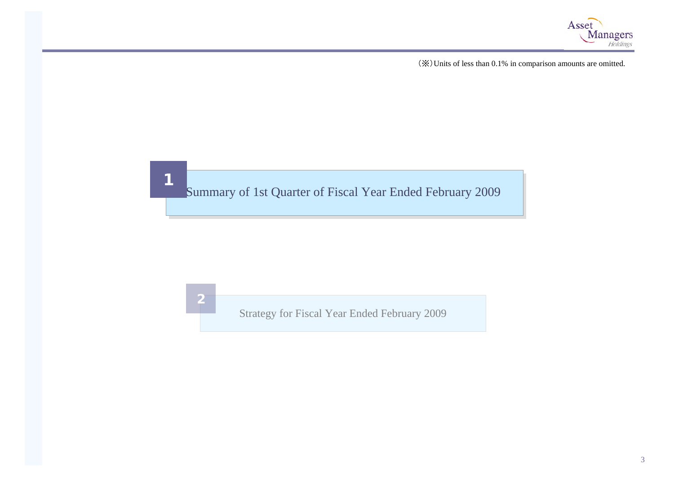

(※)Units of less than 0.1% i n comparison amounts are omitted.

# **1**<br>Summary of 1st Quarter of Fiscal Year Ended February 2009

**2**

Strategy for Fiscal Year Ended February 2009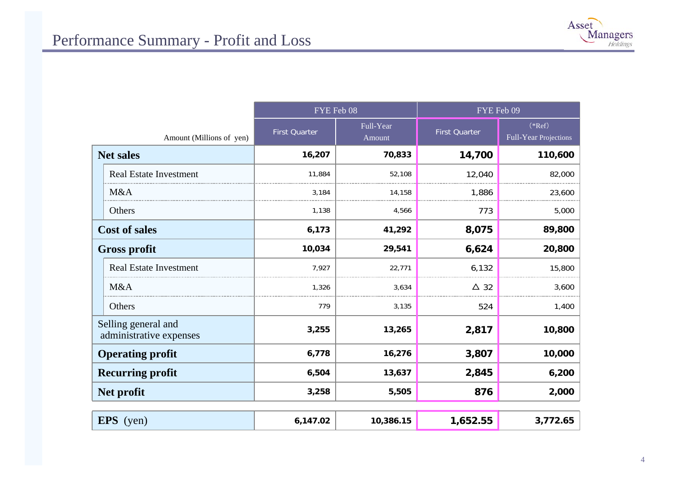

|                                                | FYE Feb 08           |                     | FYE Feb 09           |                                   |  |
|------------------------------------------------|----------------------|---------------------|----------------------|-----------------------------------|--|
| Amount (Millions of yen)                       | <b>First Quarter</b> | Full-Year<br>Amount | <b>First Quarter</b> | $(*Ref)$<br>Full-Year Projections |  |
| <b>Net sales</b>                               | 16,207               | 70,833              | 14,700               | 110,600                           |  |
| <b>Real Estate Investment</b>                  | 11,884               | 52,108              | 12,040               | 82,000                            |  |
| M&A                                            | 3,184                | 14,158              | 1,886                | 23,600                            |  |
| Others                                         | 1,138                | 4,566               | 773                  | 5,000                             |  |
| <b>Cost of sales</b>                           | 6,173                | 41,292              | 8,075                | 89,800                            |  |
| <b>Gross profit</b>                            | 10,034               | 29,541              | 6,624                | 20,800                            |  |
| <b>Real Estate Investment</b>                  | 7,927                | 22,771              | 6,132                | 15,800                            |  |
| M&A                                            | 1,326                | 3,634               | $\Delta$ 32          | 3,600                             |  |
| Others                                         | 779                  | 3,135               | 524                  | 1,400                             |  |
| Selling general and<br>administrative expenses | 3,255                | 13,265              | 2,817<br>10,800      |                                   |  |
| <b>Operating profit</b>                        | 6,778                | 16,276              | 3,807                | 10,000                            |  |
| <b>Recurring profit</b>                        | 6,504                | 13,637              | 2,845                | 6,200                             |  |
| Net profit                                     | 3,258                | 5,505               | 876                  | 2,000                             |  |
| <b>EPS</b> (yen)                               | 6,147.02             | 10,386.15           | 1,652.55             | 3,772.65                          |  |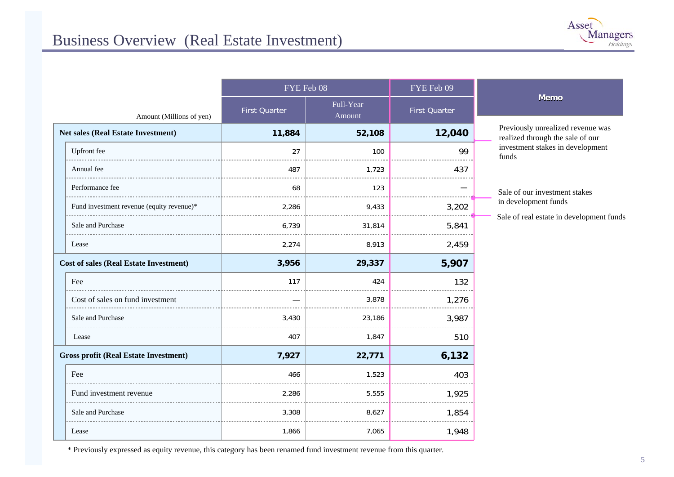|                                               | FYE Feb 08    |                     | FYE Feb 09           |                                                                       |
|-----------------------------------------------|---------------|---------------------|----------------------|-----------------------------------------------------------------------|
| Amount (Millions of yen)                      | First Quarter | Full-Year<br>Amount | <b>First Quarter</b> | <b>Memo</b>                                                           |
| <b>Net sales (Real Estate Investment)</b>     | 11,884        | 52,108              | 12,040               | Previously unrealized revenue was<br>realized through the sale of our |
| Upfront fee                                   | 27            | 100                 | 99                   | investment stakes in development<br>funds                             |
| Annual fee                                    | 487           | 1,723               | 437                  |                                                                       |
| Performance fee                               | 68            | 123                 |                      | Sale of our investment stakes                                         |
| Fund investment revenue (equity revenue)*     | 2,286         | 9,433               | 3,202                | in development funds                                                  |
| Sale and Purchase                             | 6,739         | 31,814              | 5,841                | Sale of real estate in development funds                              |
| Lease                                         | 2,274         | 8,913               | 2,459                |                                                                       |
| <b>Cost of sales (Real Estate Investment)</b> | 3,956         | 29,337              | 5,907                |                                                                       |
| Fee                                           | 117           | 424                 | 132                  |                                                                       |
| Cost of sales on fund investment              |               | 3,878               | 1,276                |                                                                       |
| Sale and Purchase                             | 3,430         | 23,186              | 3,987                |                                                                       |
| Lease                                         | 407           | 1,847               | 510                  |                                                                       |
| <b>Gross profit (Real Estate Investment)</b>  | 7,927         | 22,771              | 6,132                |                                                                       |
| Fee                                           | 466           | 1,523               | 403                  |                                                                       |
| Fund investment revenue                       | 2,286         | 5,555               | 1,925                |                                                                       |
| Sale and Purchase                             | 3,308         | 8,627               | 1,854                |                                                                       |
| Lease                                         | 1,866         | 7,065               | 1,948                |                                                                       |

\* Previously expressed as equity revenue, t his category has been renamed fu n d i nvest ment revenue fro m t his quarter.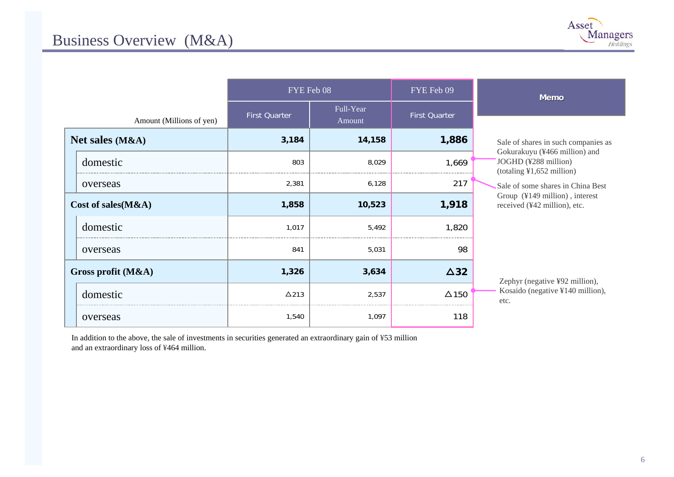| Asset<br><b>Managers</b><br>Holdings |
|--------------------------------------|
|                                      |

|                          | FYE Feb 08           |                     | FYE Feb 09    |                                                                                          |  | <b>Memo</b> |
|--------------------------|----------------------|---------------------|---------------|------------------------------------------------------------------------------------------|--|-------------|
| Amount (Millions of yen) | <b>First Quarter</b> | Full-Year<br>Amount | First Quarter |                                                                                          |  |             |
| Net sales (M&A)          | 3,184                | 14,158              | 1,886         | Sale of shares in such companies as                                                      |  |             |
| domestic                 | 803                  | 8,029               | 1,669         | Gokurakuyu (¥466 million) and<br>JOGHD (¥288 million)<br>$(totaling \yen 1,652 million)$ |  |             |
| overseas                 | 2,381                | 6,128               | 217           | Sale of some shares in China Best                                                        |  |             |
| Cost of sales $(M&A)$    | 1,858                | 10,523              | 1,918         | Group (¥149 million), interest<br>received (¥42 million), etc.                           |  |             |
| domestic                 | 1.017                | 5,492               | 1,820         |                                                                                          |  |             |
| overseas                 | 841                  | 5,031               | 98            |                                                                                          |  |             |
| Gross profit $(M&A)$     | 1,326                | 3,634               | $\Delta$ 32   |                                                                                          |  |             |
| domestic                 | $\Delta$ 213         | 2,537               | $\Delta$ 150  | Zephyr (negative ¥92 million),<br>Kosaido (negative ¥140 million),<br>etc.               |  |             |
| overseas                 | 1,540                | 1,097               | 118           |                                                                                          |  |             |

In addition to the above, the sale of investments in securities generated an extraordinary gain of ¥53 million and an extraordinary loss of ¥464 million.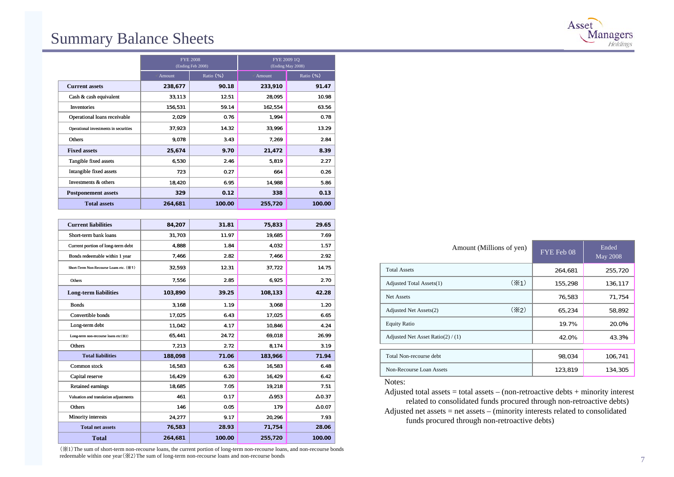### Summary Balance Sheets

|                                       | <b>FYE 2008</b><br>(Ending Feb 2008) |           |         | FYE 2009 1Q<br>(Ending May 2008) |
|---------------------------------------|--------------------------------------|-----------|---------|----------------------------------|
|                                       | Amount                               | Ratio (%) | Amount  | Ratio (%)                        |
| <b>Current assets</b>                 | 238,677                              | 90.18     | 233,910 | 91.47                            |
| Cash & cash equivalent                | 33,113                               | 12.51     | 28,095  | 10.98                            |
| Inventories                           | 156,531                              | 59.14     | 162,554 | 63.56                            |
| Operational loans receivable          | 2,029                                | 0.76      | 1,994   | 0.78                             |
| Operational investments in securities | 37,923                               | 14.32     | 33,996  | 13.29                            |
| Others                                | 9,078                                | 3.43      | 7,269   | 2.84                             |
| <b>Fixed assets</b>                   | 25,674                               | 9.70      | 21,472  | 8.39                             |
| Tangible fixed assets                 | 6,530                                | 2.46      | 5,819   | 2.27                             |
| Intangible fixed assets               | 723                                  | 0.27      | 664     | 0.26                             |
| Investments & others                  | 18,420                               | 6.95      | 14,988  | 5.86                             |
| <b>Postponement assets</b>            | 329                                  | 0.12      | 338     | 0.13                             |
| <b>Total assets</b>                   | 264,681                              | 100.00    | 255,720 | 100.00                           |

| <b>Current liabilities</b>              | 84,207  | 31.81  | 75,833       | 29.65         |
|-----------------------------------------|---------|--------|--------------|---------------|
| Short-term bank loans                   | 31,703  | 11.97  | 19.685       | 7.69          |
| Current portion of long-term debt       | 4.888   | 1.84   | 4.032        | 1.57          |
| Bonds redeemable within 1 year          | 7,466   | 2.82   | 7,466        | 2.92          |
| Short-Term Non-Recourse Loans etc. (※1) | 32,593  | 12.31  | 37,722       | 14.75         |
| Others                                  | 7,556   | 2.85   | 6,925        | 2.70          |
| <b>Long-term liabilities</b>            | 103,890 | 39.25  | 108,133      | 42.28         |
| <b>Bonds</b>                            | 3,168   | 1.19   | 3,068        | 1.20          |
| Convertible bonds                       | 17,025  | 6.43   | 17,025       | 6.65          |
| Long-term debt                          | 11,042  | 4.17   | 10,846       | 4.24          |
| Long-term non-recourse loans etc(※2)    | 65,441  | 24.72  | 69,018       | 26.99         |
| Others                                  | 7,213   | 2.72   | 8,174        | 3.19          |
| <b>Total liabilities</b>                | 188,098 | 71.06  | 183,966      | 71.94         |
| Common stock                            | 16,583  | 6.26   | 16,583       | 6.48          |
| Capital reserve                         | 16,429  | 6.20   | 16,429       | 6.42          |
| <b>Retained earnings</b>                | 18,685  | 7.05   | 19,218       | 7.51          |
| Valuation and translation adjustments   | 461     | 0.17   | $\Delta$ 953 | $\Delta$ 0.37 |
| Others                                  | 146     | 0.05   | 179          | $\Delta$ 0.07 |
| Minority interests                      | 24,277  | 9.17   | 20.296       | 7.93          |
| <b>Total net assets</b>                 | 76,583  | 28.93  | 71,754       | 28.06         |
| <b>Total</b>                            | 264,681 | 100.00 | 255,720      | 100.00        |

(※1)The sum of short-term non-recourse loans, the current portion of long-term non-recourse loans, and non-recourse bonds redeemable within one year(※2)The sum of long-term non-recourse loans and non-recourse bonds

| Amount (Millions of yen)          |                   | FYE Feb 08 | Ended<br>May 2008 |
|-----------------------------------|-------------------|------------|-------------------|
| <b>Total Assets</b>               |                   | 264,681    | 255,720           |
| Adjusted Total Assets(1)          | (X <sub>1</sub> ) | 155,298    | 136,117           |
| Net Assets                        |                   | 76,583     | 71,754            |
| Adjusted Net Assets(2)            | $(\times 2)$      | 65,234     | 58,892            |
| <b>Equity Ratio</b>               |                   | 19.7%      | 20.0%             |
| Adjusted Net Asset Ratio(2) / (1) |                   | 42.0%      | 43.3%             |
|                                   |                   |            |                   |
| Total Non-recourse debt           |                   | 98,034     | 106,741           |
| Non-Recourse Loan Assets          |                   | 123,819    | 134,305           |
|                                   |                   |            |                   |

Notes:

Adjusted total assets  $=$  total assets  $-$  (non-retroactive debts  $+$  minority interest related to consolidated funds procured through non-retroactive debts) Adjusted net assets = net assets – (minority interests related to consolidated funds procured through non-retroactive debts)



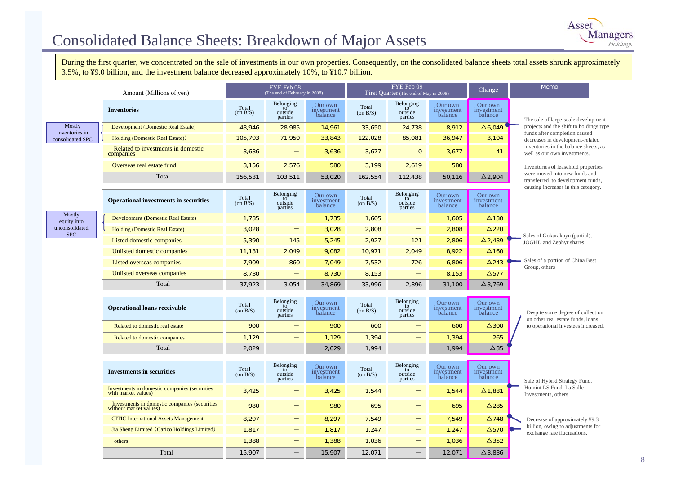# Consolidated Balance Sheets: Breakdown of Major Assets

During the first quarter, we concentrated on the sale of investments in our own properties. Consequently, on the consolidated balance sheets total assets shrunk approximately 3.5%, to ¥9.0 billion, and the investment balance decreased approximately 10%, to ¥10.7 billion.

|                              | Amount (Millions of yen)                                                |                         | FYE Feb 08<br>(The end of February in 2008)        |                                  |                         | FYE Feb 09<br>First Quarter (The end of May in 2008) |                                  |                                  | Memo                                                                   |
|------------------------------|-------------------------------------------------------------------------|-------------------------|----------------------------------------------------|----------------------------------|-------------------------|------------------------------------------------------|----------------------------------|----------------------------------|------------------------------------------------------------------------|
|                              | <b>Inventories</b>                                                      | Total<br>$($ on B $/S)$ | Belonging<br>to<br>outside<br>parties              | Our own<br>investment<br>balance | Total<br>$($ on $B/S)$  | Belonging<br>to<br>outside<br>parties                | Our own<br>investment<br>balance | Our own<br>investment<br>balance | The sale of large-scale development                                    |
| Mostly<br>inventories in     | <b>Development (Domestic Real Estate)</b>                               | 43,946                  | 28,985                                             | 14,961                           | 33,650                  | 24,738                                               | 8,912                            | $\triangle 6,049$                | projects and the shift to holdings type                                |
| consolidated SPC             | Holding (Domestic Real Estate))                                         | 105,793                 | 71,950                                             | 33,843                           | 122,028                 | 85,081                                               | 36,947                           | 3,104                            | funds after completion caused<br>decreases in development-related      |
|                              | Related to investments in domestic<br>companies                         | 3,636                   |                                                    | 3,636                            | 3,677                   | $\mathbf{0}$                                         | 3,677                            | 41                               | inventories in the balance sheets, as<br>well as our own investments.  |
|                              | Overseas real estate fund                                               | 3,156                   | 2,576                                              | 580                              | 3,199                   | 2,619                                                | 580                              | $\equiv$                         | Inventories of leasehold properties                                    |
|                              | Total                                                                   | 156,531                 | 103,511                                            | 53,020                           | 162,554                 | 112,438                                              | 50,116                           | $\Delta$ 2,904                   | were moved into new funds and<br>transferred to development funds,     |
|                              | <b>Operational investments in securities</b>                            | Total<br>(on B/S)       | Belonging<br>to<br>outside<br>parties              | Our own<br>investment<br>balance | Total<br>(on B/S)       | Belonging<br>to<br>outside<br>parties                | Our own<br>investment<br>balance | Our own<br>investment<br>balance | causing increases in this category.                                    |
| Mostly<br>equity into        | Development (Domestic Real Estate)                                      | 1,735                   |                                                    | 1,735                            | 1,605                   |                                                      | 1,605                            | $\Delta$ 130                     |                                                                        |
| unconsolidated<br><b>SPC</b> | <b>Holding (Domestic Real Estate)</b>                                   | 3,028                   | $\qquad \qquad -$                                  | 3,028                            | 2,808                   | $\qquad \qquad -$                                    | 2,808                            | $\Delta$ 220                     |                                                                        |
|                              | Listed domestic companies                                               | 5,390                   | 145                                                | 5,245                            | 2,927                   | 121                                                  | 2,806                            | $\Delta$ 2,439                   | Sales of Gokurakuyu (partial),<br>JOGHD and Zephyr shares              |
|                              | Unlisted domestic companies                                             | 11,131                  | 2,049                                              | 9,082                            | 10,971                  | 2,049                                                | 8,922                            | $\Delta$ 160                     |                                                                        |
|                              | Listed overseas companies                                               | 7,909                   | 860                                                | 7,049                            | 7,532                   | 726                                                  | 6,806                            | $\Delta$ 243                     | Sales of a portion of China Best<br>Group, others                      |
|                              | Unlisted overseas companies                                             | 8,730                   | $\qquad \qquad -$                                  | 8,730                            | 8,153                   | $\qquad \qquad -$                                    | 8,153                            | $\Delta$ 577                     |                                                                        |
|                              | Total                                                                   | 37.923                  | 3,054                                              | 34,869                           | 33,996                  | 2.896                                                | 31,100                           | $\Delta$ 3,769                   |                                                                        |
|                              | <b>Operational loans receivable</b>                                     | Total<br>$($ on $B/S)$  | Belonging<br>$\overline{10}$<br>outside<br>parties | Our own<br>investment<br>balance | Total<br>$($ on B $/S)$ | Belonging<br>to<br>outside<br>parties                | Our own<br>investment<br>balance | Our own<br>investment<br>balance | Despite some degree of collection<br>on other real estate funds, loans |
|                              | Related to domestic real estate                                         | 900                     | $\overline{\phantom{0}}$                           | 900                              | 600                     | $\overline{\phantom{0}}$                             | 600                              | $\Delta$ 300                     | to operational investees increased.                                    |
|                              | Related to domestic companies                                           | 1,129                   |                                                    | 1,129                            | 1,394                   | $\qquad \qquad$                                      | 1,394                            | 265                              |                                                                        |
|                              | Total                                                                   | 2,029                   | $\overline{\phantom{m}}$                           | 2,029                            | 1,994                   |                                                      | 1,994                            | $\Delta$ 35                      |                                                                        |
|                              | <b>Investments in securities</b>                                        | Total<br>$($ on $B/S)$  | Belonging<br>to <sup>-</sup><br>outside<br>parties | Our own<br>investment<br>balance | Total<br>(on B/S)       | Belonging<br>to<br>outside<br>parties                | Our own<br>investment<br>balance | Our own<br>investment<br>balance | Sale of Hybrid Strategy Fund,                                          |
|                              | Investments in domestic companies (securities<br>with market values)    | 3,425                   |                                                    | 3,425                            | 1,544                   |                                                      | 1,544                            | $\Delta$ 1,881                   | Humint LS Fund, La Salle<br>Investments, others                        |
|                              | Investments in domestic companies (securities<br>without market values) | 980                     | —                                                  | 980                              | 695                     |                                                      | 695                              | $\Delta$ 285                     |                                                                        |
|                              | <b>CITIC</b> International Assets Management                            | 8.297                   | $\qquad \qquad$                                    | 8.297                            | 7.549                   | $\qquad \qquad -$                                    | 7.549                            | $\Delta$ 748                     | Decrease of approximately ¥9.3                                         |
|                              | Jia Sheng Limited (Carico Holdings Limited)                             | 1,817                   | —                                                  | 1,817                            | 1,247                   | $\qquad \qquad -$                                    | 1,247                            | $\Delta$ 570                     | billion, owing to adjustments for<br>exchange rate fluctuations.       |
|                              | others                                                                  | 1,388                   |                                                    | 1,388                            | 1,036                   |                                                      | 1,036                            | $\Delta$ 352                     |                                                                        |
|                              | Total                                                                   | 15,907                  |                                                    | 15,907                           | 12.071                  |                                                      | 12.071                           | $\Delta$ 3.836                   |                                                                        |

8

Asset

**Managers**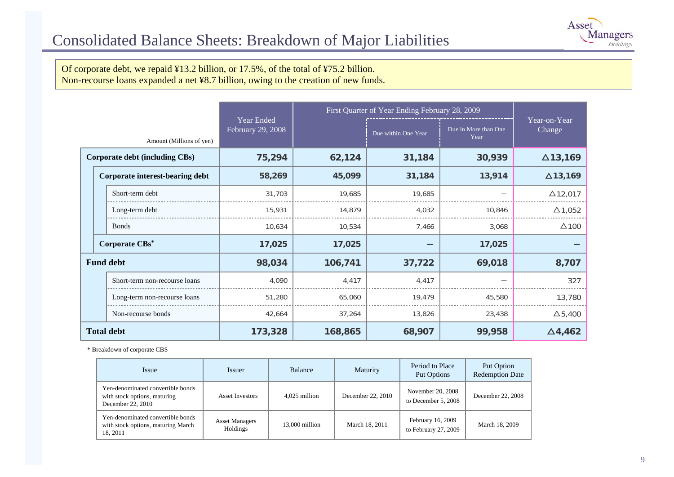

Of corporate debt, we repaid ¥13.2 billion, or 17.5%, of the total of ¥75.2 billion. Non-recourse loans expanded a net ¥8.7 billion, owing to the creation of new funds.

|                          |                                 |                                 | First Quarter of Year Ending February 28, 2009 |                     |                              |                        |
|--------------------------|---------------------------------|---------------------------------|------------------------------------------------|---------------------|------------------------------|------------------------|
| Amount (Millions of yen) |                                 | Year Ended<br>February 29, 2008 |                                                | Due within One Year | Due in More than One<br>Year | Year-on-Year<br>Change |
|                          | Corporate debt (including CBs)  | 75,294                          | 62,124                                         | 31,184              | 30,939                       | $\Delta$ 13,169        |
|                          | Corporate interest-bearing debt | 58,269                          | 45,099                                         | 31,184              | 13,914                       | $\Delta$ 13,169        |
|                          | Short-term debt                 | 31,703                          | 19,685                                         | 19,685              |                              | $\Delta$ 12,017        |
|                          | Long-term debt                  | 15,931                          | 14,879                                         | 4,032               | 10,846                       | $\Delta$ 1,052         |
|                          | <b>Bonds</b>                    | 10,634                          | 10,534                                         | 7,466               | 3,068                        | $\Delta$ 100           |
|                          | Corporate CBs*                  | 17,025                          | 17,025                                         |                     | 17,025                       |                        |
|                          | <b>Fund debt</b>                | 98,034                          | 106,741                                        | 37,722              | 69,018                       | 8,707                  |
|                          | Short-term non-recourse loans   | 4,090                           | 4,417                                          | 4,417               |                              | 327                    |
|                          | Long-term non-recourse loans    | 51,280                          | 65,060                                         | 19,479              | 45,580                       | 13,780                 |
|                          | Non-recourse bonds              | 42,664                          | 37,264                                         | 13,826              | 23,438                       | $\Delta$ 5,400         |
|                          | <b>Total debt</b>               | 173,328                         | 168,865                                        | 68,907              | 99,958                       | $\Delta$ 4,462         |

\* Breakdown of corporate CBS

| <b>Issue</b>                                                                           | <i>Issuer</i>                     | Balance        | Maturity          | Period to Place<br><b>Put Options</b>     | Put Option<br><b>Redemption Date</b> |
|----------------------------------------------------------------------------------------|-----------------------------------|----------------|-------------------|-------------------------------------------|--------------------------------------|
| Yen-denominated convertible bonds<br>with stock options, maturing<br>December 22, 2010 | <b>Asset Investors</b>            | 4.025 million  | December 22, 2010 | November 20, 2008<br>to December 5, 2008  | December 22, 2008                    |
| Yen-denominated convertible bonds<br>with stock options, maturing March<br>18, 2011    | <b>Asset Managers</b><br>Holdings | 13,000 million | March 18, 2011    | February 16, 2009<br>to February 27, 2009 | March 18, 2009                       |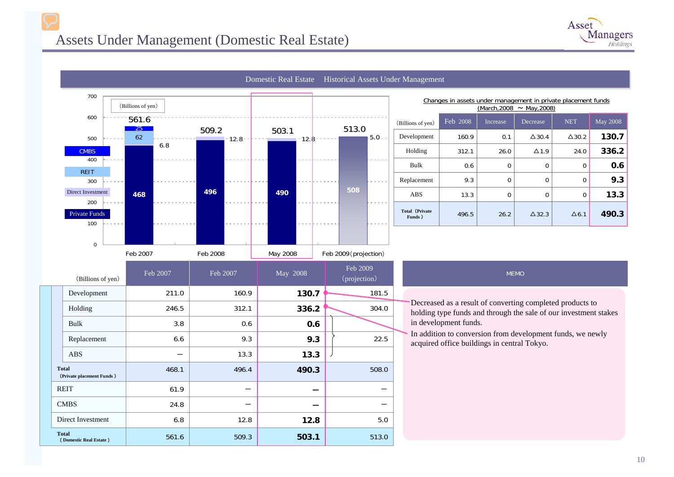

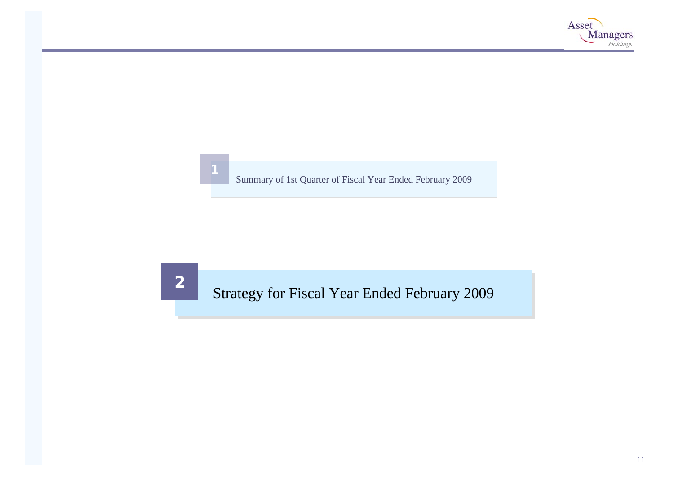

Summary of 1st Quarter of Fiscal Year Ended February 2009

Strategy for Fiscal Year Ended February 2009

**2**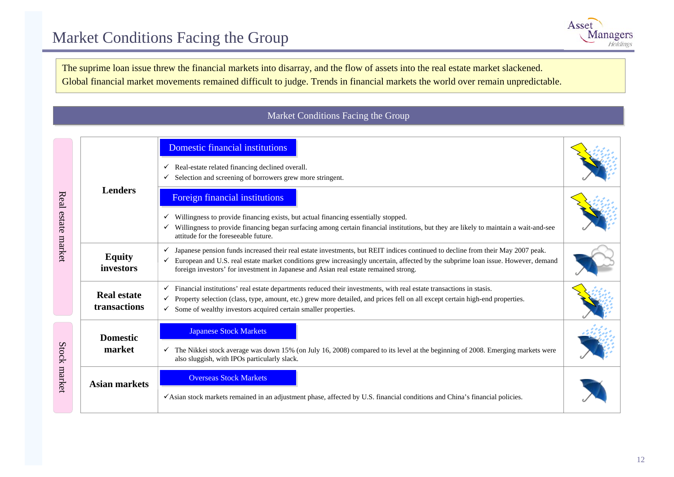

The suprime loan issue threw the financial markets into disarray, and the flow of assets into the real estate market slackened. Global financial market movements remained difficult to judge. Trends in financial markets the world over remain unpredictable.

### Market Conditions Facing the Group

|                    |                                    | Domestic financial institutions<br>Real-estate related financing declined overall.<br>$\checkmark$<br>Selection and screening of borrowers grew more stringent.<br>✓                                                                                                                                                                                                         |  |  |  |  |  |
|--------------------|------------------------------------|------------------------------------------------------------------------------------------------------------------------------------------------------------------------------------------------------------------------------------------------------------------------------------------------------------------------------------------------------------------------------|--|--|--|--|--|
| Real estate market | <b>Lenders</b>                     | <b>Foreign financial institutions</b><br>Willingness to provide financing exists, but actual financing essentially stopped.<br>Willingness to provide financing began surfacing among certain financial institutions, but they are likely to maintain a wait-and-see<br>✓<br>attitude for the foreseeable future.                                                            |  |  |  |  |  |
|                    | <b>Equity</b><br>investors         | Japanese pension funds increased their real estate investments, but REIT indices continued to decline from their May 2007 peak.<br>European and U.S. real estate market conditions grew increasingly uncertain, affected by the subprime loan issue. However, demand<br>$\checkmark$<br>foreign investors' for investment in Japanese and Asian real estate remained strong. |  |  |  |  |  |
|                    | <b>Real estate</b><br>transactions | $\checkmark$ Financial institutions' real estate departments reduced their investments, with real estate transactions in stasis.<br>Property selection (class, type, amount, etc.) grew more detailed, and prices fell on all except certain high-end properties.<br>✓<br>Some of wealthy investors acquired certain smaller properties.<br>$\checkmark$                     |  |  |  |  |  |
|                    | <b>Domestic</b><br>market          | <b>Japanese Stock Markets</b><br>The Nikkei stock average was down 15% (on July 16, 2008) compared to its level at the beginning of 2008. Emerging markets were<br>$\checkmark$<br>also sluggish, with IPOs particularly slack.                                                                                                                                              |  |  |  |  |  |
| Stock market       | <b>Asian markets</b>               | <b>Overseas Stock Markets</b><br>√Asian stock markets remained in an adjustment phase, affected by U.S. financial conditions and China's financial policies.                                                                                                                                                                                                                 |  |  |  |  |  |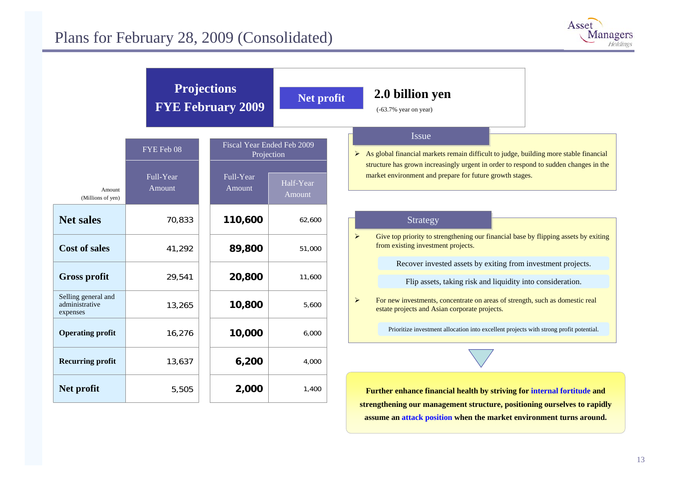

| FYE Feb 08<br>Full-Year<br>Amount<br>Amount<br>(Millions of yen)<br><b>Net sales</b><br>70,833<br><b>Cost of sales</b><br>41,292<br><b>Gross profit</b><br>29,541<br>Selling general and<br>administrative<br>13,265<br>expenses<br><b>Operating profit</b><br>16,276 | Full-Year<br>Amount | Fiscal Year Ended Feb 2009<br>Projection | <b>Issue</b><br>$\triangleright$ As global financial markets remain difficult to judge, building more stable financial                                 |
|-----------------------------------------------------------------------------------------------------------------------------------------------------------------------------------------------------------------------------------------------------------------------|---------------------|------------------------------------------|--------------------------------------------------------------------------------------------------------------------------------------------------------|
|                                                                                                                                                                                                                                                                       |                     |                                          | structure has grown increasingly urgent in order to respond to sudden changes in the                                                                   |
|                                                                                                                                                                                                                                                                       |                     | Half-Year<br>Amount                      | market environment and prepare for future growth stages.                                                                                               |
|                                                                                                                                                                                                                                                                       | 110,600             | 62,600                                   | Strategy                                                                                                                                               |
|                                                                                                                                                                                                                                                                       | 89,800              | 51,000                                   | $\blacktriangleright$<br>Give top priority to strengthening our financial base by flipping assets by exiting<br>from existing investment projects.     |
|                                                                                                                                                                                                                                                                       | 20,800              | 11,600                                   | Recover invested assets by exiting from investment projects.<br>Flip assets, taking risk and liquidity into consideration.                             |
|                                                                                                                                                                                                                                                                       | 10,800              | 5,600                                    | $\blacktriangleright$<br>For new investments, concentrate on areas of strength, such as domestic real<br>estate projects and Asian corporate projects. |
|                                                                                                                                                                                                                                                                       | 10,000              | 6,000                                    | Prioritize investment allocation into excellent projects with strong profit potential.                                                                 |
| 13,637<br><b>Recurring profit</b>                                                                                                                                                                                                                                     | 6,200               | 4,000                                    |                                                                                                                                                        |
| Net profit<br>5,505                                                                                                                                                                                                                                                   |                     | 1,400                                    | Further enhance financial health by striving for internal fortitude and                                                                                |

**assume an attack position when the market environment turns around.**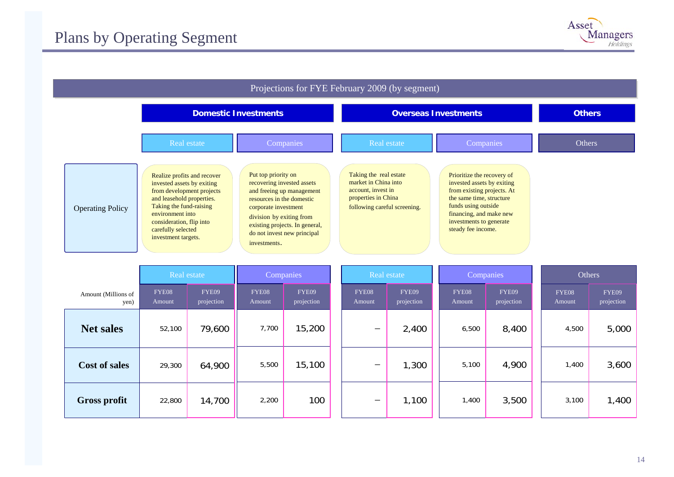

| Projections for FYE February 2009 (by segment) |                                                                                                                                                                                                                                             |                                                                                                                                                                                                                                                  |                                                                                                                             |                                                                                                                                                                                                                       |        |  |  |  |
|------------------------------------------------|---------------------------------------------------------------------------------------------------------------------------------------------------------------------------------------------------------------------------------------------|--------------------------------------------------------------------------------------------------------------------------------------------------------------------------------------------------------------------------------------------------|-----------------------------------------------------------------------------------------------------------------------------|-----------------------------------------------------------------------------------------------------------------------------------------------------------------------------------------------------------------------|--------|--|--|--|
|                                                |                                                                                                                                                                                                                                             | <b>Domestic Investments</b>                                                                                                                                                                                                                      | <b>Overseas Investments</b>                                                                                                 | <b>Others</b>                                                                                                                                                                                                         |        |  |  |  |
|                                                | Real estate                                                                                                                                                                                                                                 | Companies                                                                                                                                                                                                                                        | Real estate                                                                                                                 | Companies                                                                                                                                                                                                             | Others |  |  |  |
| <b>Operating Policy</b>                        | Realize profits and recover<br>invested assets by exiting<br>from development projects<br>and leasehold properties.<br>Taking the fund-raising<br>environment into<br>consideration, flip into<br>carefully selected<br>investment targets. | Put top priority on<br>recovering invested assets<br>and freeing up management<br>resources in the domestic<br>corporate investment<br>division by exiting from<br>existing projects. In general,<br>do not invest new principal<br>investments. | Taking the real estate<br>market in China into<br>account, invest in<br>properties in China<br>following careful screening. | Prioritize the recovery of<br>invested assets by exiting<br>from existing projects. At<br>the same time, structure<br>funds using outside<br>financing, and make new<br>investments to generate<br>steady fee income. |        |  |  |  |

|                             | Companies<br>Real estate |                     | Real estate     |                     | Companies                      |                     | Others          |                     |                 |                     |
|-----------------------------|--------------------------|---------------------|-----------------|---------------------|--------------------------------|---------------------|-----------------|---------------------|-----------------|---------------------|
| Amount (Millions of<br>yen) | FYE08<br>Amount          | FYE09<br>projection | FYE08<br>Amount | FYE09<br>projection | FYE08<br>Amount                | FYE09<br>projection | FYE08<br>Amount | FYE09<br>projection | FYE08<br>Amount | FYE09<br>projection |
| <b>Net sales</b>            | 52,100                   | 79,600              | 7,700           | 15,200              | $\qquad \qquad \longleftarrow$ | 2,400               | 6,500           | 8,400               | 4,500           | 5,000               |
| <b>Cost of sales</b>        | 29,300                   | 64,900              | 5,500           | 15,100              | $\qquad \qquad \longleftarrow$ | ,300                | 5,100           | 4,900               | 1,400           | 3,600               |
| <b>Gross profit</b>         | 22,800                   | 14,700              | 2,200           | 100                 | $\overline{\phantom{0}}$       | 1,100               | 1,400           | 3,500               | 3,100           | 1,400               |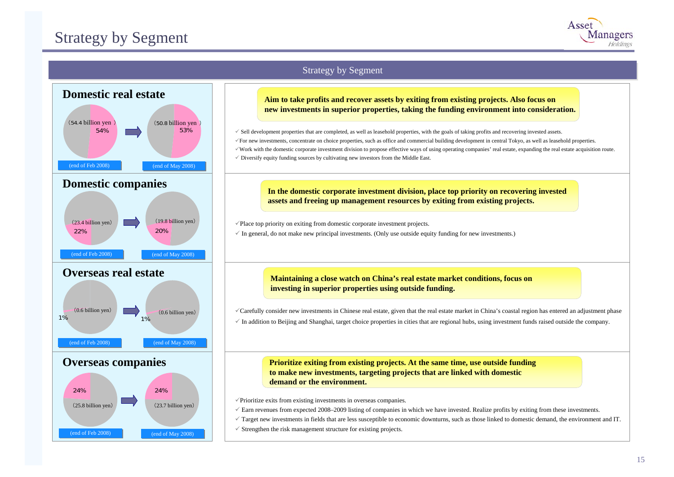

### Strategy by Segment



#### **Aim to take profits and recover assets by exiting from existing projects. Also focus on new investments in superior properties, taking the funding environment into consideration.**

 $\checkmark$  Sell development properties that are completed, as well as leasehold properties, with the goals of taking profits and recovering invested assets. <sup>9</sup>For new investments, concentrate on choice properties, such as office and commercial building development in central Tokyo, as well as leasehold properties. <sup>9</sup>Work with the domestic corporate investment division to propose effective ways of using operating companies' real estate, expanding the real estate acquisition route.  $\checkmark$  Diversify equity funding sources by cultivating new investors from the Middle East.

**In the domestic corporate investment division, place top priority on recovering invested assets and freeing up management resources by exiting from existing projects.**

 $\checkmark$ Place top priority on exiting from domestic corporate investment projects.

 $\checkmark$  In general, do not make new principal investments. (Only use outside equity funding for new investments.)

#### **Maintaining a close watch on China's real estate market conditions, focus on investing in superior properties using outside funding.**

<sup>9</sup>Carefully consider new investments in Chinese real estate, given that the real estate market in China's coastal region has entered an adjustment phase  $\checkmark$  In addition to Beijing and Shanghai, target choice properties in cities that are regional hubs, using investment funds raised outside the company.

**Prioritize exiting from existing projects. At the same time, use outside funding to make new investments, targeting projects that are linked with domestic demand or the environment.**

 $\sqrt{\frac{1}{2}}$ Prioritize exits from existing investments in overseas companies.

 $\sqrt{\ }$  Earn revenues from expected 2008–2009 listing of companies in which we have invested. Realize profits by exiting from these investments.

 $\checkmark$  Target new investments in fields that are less susceptible to economic downturns, such as those linked to domestic demand, the environment and IT.

 $\checkmark$  Strengthen the risk management structure for existing projects.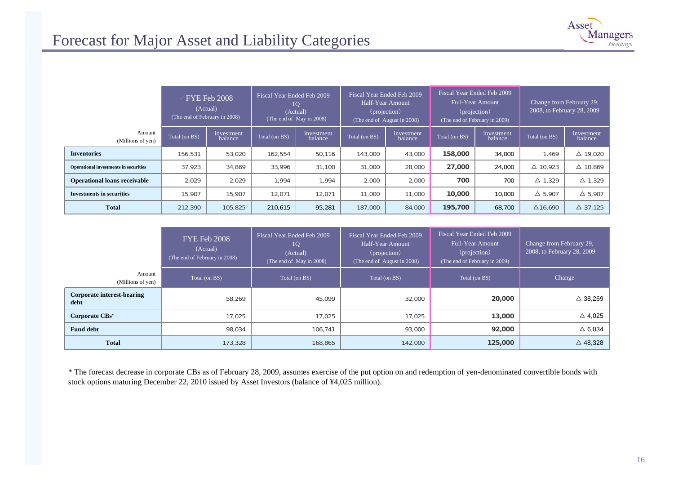| Asset |                             |
|-------|-----------------------------|
|       | <b>Managers</b><br>Holdings |

|                                              |               | FYE Feb 2008<br>(Actual)<br>(The end of February in 2008) | Fiscal Year Ended Feb 2009 | 10<br>(Actual)<br>(The end of May in 2008) |               | Fiscal Year Ended Feb 2009<br>Half-Year Amount<br>(projection)<br>(The end of August in 2008) | <b>Full-Year Amount</b> | Fiscal Year Ended Feb 2009<br>(projection)<br>(The end of February in 2009) | Change from February 29, | 2008, to February 28, 2009 |
|----------------------------------------------|---------------|-----------------------------------------------------------|----------------------------|--------------------------------------------|---------------|-----------------------------------------------------------------------------------------------|-------------------------|-----------------------------------------------------------------------------|--------------------------|----------------------------|
| Amount<br>(Millions of yen)                  | Total (on BS) | investment<br>balance                                     | Total (on BS)              | investment<br>balance                      | Total (on BS) | investment<br>balance                                                                         | Total (on BS)           | investment<br>balance                                                       | Total (on BS)            | investment<br>balance      |
| <b>Inventories</b>                           | 156,531       | 53,020                                                    | 162,554                    | 50,116                                     | 143,000       | 43,000                                                                                        | 158,000                 | 34,000                                                                      | 1.469                    | $\triangle$ 19.020         |
| <b>Operational investments in securities</b> | 37.923        | 34,869                                                    | 33,996                     | 31,100                                     | 31,000        | 28,000                                                                                        | 27,000                  | 24,000                                                                      | $\triangle$ 10.923       | $\triangle$ 10.869         |
| <b>Operational loans receivable</b>          | 2,029         | 2,029                                                     | 1.994                      | 1.994                                      | 2,000         | 2,000                                                                                         | 700                     | 700                                                                         | $\Delta$ 1.329           | $\Delta$ 1.329             |
| <b>Investments in securities</b>             | 15,907        | 15,907                                                    | 12.071                     | 12,071                                     | 11,000        | 11,000                                                                                        | 10,000                  | 10,000                                                                      | $\Delta$ 5,907           | $\triangle$ 5.907          |
| <b>Total</b>                                 | 212,390       | 105,825                                                   | 210,615                    | 95,281                                     | 187,000       | 84,000                                                                                        | 195,700                 | 68,700                                                                      | $\Delta$ 16,690          | $\Delta$ 37.125            |

|                                    | <b>FYE Feb 2008</b><br>(Actual)<br>(The end of February in 2008) | Fiscal Year Ended Feb 2009<br>10<br>(Actual)<br>(The end of May in 2008) | Fiscal Year Ended Feb 2009<br>Half-Year Amount<br>(projection)<br>(The end of August in 2008) | Fiscal Year Ended Feb 2009<br><b>Full-Year Amount</b><br>(projection)<br>(The end of February in 2009) | Change from February 29,<br>2008, to February 28, 2009 |
|------------------------------------|------------------------------------------------------------------|--------------------------------------------------------------------------|-----------------------------------------------------------------------------------------------|--------------------------------------------------------------------------------------------------------|--------------------------------------------------------|
| Amount<br>(Millions of yen)        | Total (on BS)                                                    | Total (on BS)                                                            | Total (on BS)                                                                                 | Total (on BS)                                                                                          | Change                                                 |
| Corporate interest-bearing<br>debt | 58,269                                                           | 45,099                                                                   | 32,000                                                                                        | 20,000                                                                                                 | $\triangle$ 38,269                                     |
| Corporate CBs <sup>*</sup>         | 17.025                                                           | 17.025                                                                   | 17,025                                                                                        | 13,000                                                                                                 | $\triangle$ 4,025                                      |
| <b>Fund debt</b>                   | 98,034                                                           | 106,741                                                                  | 93,000                                                                                        | 92,000                                                                                                 | $\triangle$ 6,034                                      |
| <b>Total</b>                       | 173,328                                                          | 168,865                                                                  | 142,000                                                                                       | 125,000                                                                                                | $\triangle$ 48,328                                     |

\* The forecast decrease in corporate CBs as of February 28, 2009, assumes exercise of the put option on and redemption of yen-denominated convertible bonds with stock options maturing December 22, 2010 issued by Asset Investors (balance of ¥4,025 million).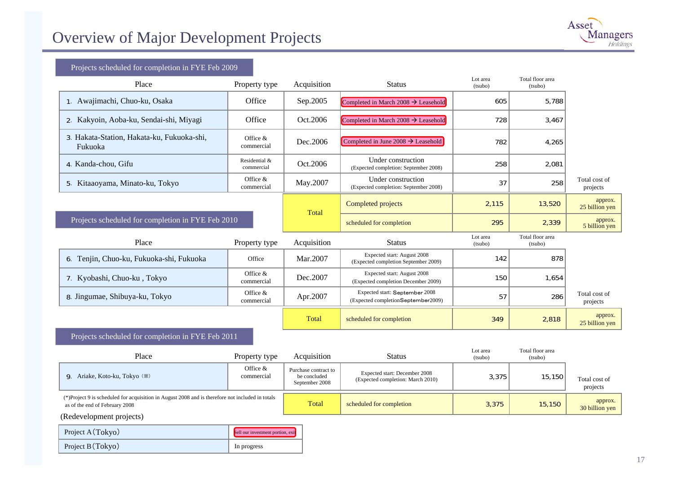

#### Projects scheduled for completion i n F YE Feb 20 09

| Place                                                 | Property type               | Acquisition        | <b>Status</b>                                                        | Lot area<br>(tsubo) | Total floor area<br>(tsubo) |                           |
|-------------------------------------------------------|-----------------------------|--------------------|----------------------------------------------------------------------|---------------------|-----------------------------|---------------------------|
| 1. Awajimachi, Chuo-ku, Osaka                         | Office                      | Sep.2005           | Completed in March 2008 $\rightarrow$ Leasehold                      | 605                 | 5,788                       |                           |
| 2. Kakyoin, Aoba-ku, Sendai-shi, Miyagi               | Office                      | Oct.2006           | Completed in March 2008 $\rightarrow$ Leasehold                      | 728                 | 3,467                       |                           |
| 3. Hakata-Station, Hakata-ku, Fukuoka-shi,<br>Fukuoka | Office &<br>commercial      | Dec.2006           | Completed in June 2008 $\rightarrow$ Leasehold                       | 782                 | 4,265                       |                           |
| 4. Kanda-chou, Gifu                                   | Residential &<br>commercial | Oct.2006           | Under construction<br>(Expected completion: September 2008)          | 258                 | 2,081                       |                           |
| Kitaaoyama, Minato-ku, Tokyo                          | Office &<br>commercial      | May.2007           | Under construction<br>(Expected completion: September 2008)          | 37                  | 258                         | Total cost of<br>projects |
|                                                       | Total                       | Completed projects | 2,115                                                                | 13,520              | approx.<br>25 billion yen   |                           |
| Projects scheduled for completion in FYE Feb 2010     |                             |                    | scheduled for completion                                             | 295                 | 2,339                       | approx.<br>5 billion yen  |
| Place                                                 | Property type               | Acquisition        | <b>Status</b>                                                        | Lot area<br>(tsubo) | Total floor area<br>(tsubo) |                           |
| 6. Tenjin, Chuo-ku, Fukuoka-shi, Fukuoka              | Office                      | Mar.2007           | Expected start: August 2008<br>(Expected completion September 2009)  | 142                 | 878                         |                           |
| 7. Kyobashi, Chuo-ku, Tokyo                           | Office &<br>commercial      | Dec.2007           | Expected start: August 2008<br>(Expected completion December 2009)   | 150                 | 1,654                       |                           |
| 8. Jingumae, Shibuya-ku, Tokyo                        | Office &<br>commercial      | Apr.2007           | Expected start: September 2008<br>(Expected completionSeptember2009) | 57                  | 286                         | Total cost of<br>projects |
|                                                       |                             | Total              | scheduled for completion                                             | 349                 | 2,818                       | approx.<br>25 billion yen |

#### Projects scheduled for completion i n F YE Feb 2011

| Place                                                                                                                              | Property type            | Acquisition                                            | <b>Status</b>                                                      | Lot area<br>(tsubo) | Total floor area<br>(tsubo) |                                     |
|------------------------------------------------------------------------------------------------------------------------------------|--------------------------|--------------------------------------------------------|--------------------------------------------------------------------|---------------------|-----------------------------|-------------------------------------|
| 9. Ariake, Koto-ku, Tokyo (※)                                                                                                      | Office $&$<br>commercial | Purchase contract to<br>be concluded<br>September 2008 | Expected start: December 2008<br>(Expected completion: March 2010) | 3,375               | 15,150                      | Total cost of<br>projects           |
| (*)Project 9 is scheduled for acquisition in August 2008 and is therefore not included in totals<br>as of the end of February 2008 |                          | Total                                                  | scheduled for completion                                           | 3,375               | 15,150                      | approx.<br>$30 \text{ billion}$ yen |
| (Redevelopment projects)                                                                                                           |                          |                                                        |                                                                    |                     |                             |                                     |

| Project A (Tokyo) | Sell our investment portion, exit |
|-------------------|-----------------------------------|
| Project B (Tokyo) | In progress                       |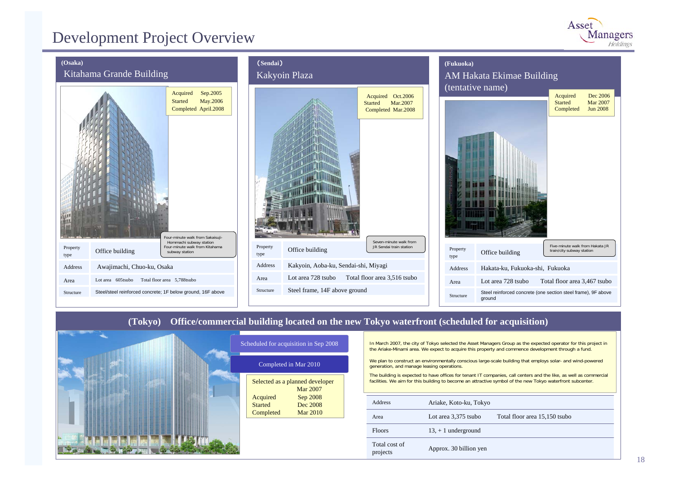### Development Project Overview





### **(Tokyo) Office/commercial building located on the new Tokyo waterfront (scheduled for acquisition)**



|                            | $\alpha$ , $\alpha$ and $\alpha$ and $\alpha$ and $\alpha$ and $\alpha$ and $\alpha$ and $\alpha$ and $\alpha$ and $\alpha$ and $\alpha$ and $\alpha$ and $\alpha$ and $\alpha$ and $\alpha$ and $\alpha$ and $\alpha$ and $\alpha$ and $\alpha$ and $\alpha$ and $\alpha$ and $\alpha$ and $\alpha$ and $\alpha$ and $\alpha$ an |
|----------------------------|-----------------------------------------------------------------------------------------------------------------------------------------------------------------------------------------------------------------------------------------------------------------------------------------------------------------------------------|
|                            | Completed in Mar 2010                                                                                                                                                                                                                                                                                                             |
|                            | Selected as a planned developer<br><b>Mar 2007</b>                                                                                                                                                                                                                                                                                |
| Acquired<br><b>Started</b> | Sep 2008<br>Dec 2008                                                                                                                                                                                                                                                                                                              |
| Completed                  | <b>Mar 2010</b>                                                                                                                                                                                                                                                                                                                   |

In March 2007, the city of Tokyo selected the Asset Managers Group as the expected operator for this project in the Ariake-Minami area. We expect to acquire this property and commence development through a fund.

We plan to construct an environmentally conscious large-scale building that employs solar- and wind-powered generation, and manage leasing operations.

The building is expected to have offices for tenant IT companies, call centers and the like, as well as commercial facilities. We aim for this building to become an attractive symbol of the new Tokyo waterfront subcenter.

| Address                   | Ariake, Koto-ku, Tokyo |                               |
|---------------------------|------------------------|-------------------------------|
| Area                      | Lot area 3,375 tsubo   | Total floor area 15,150 tsubo |
| <b>Floors</b>             | $13, +1$ underground   |                               |
| Total cost of<br>projects | Approx. 30 billion yen |                               |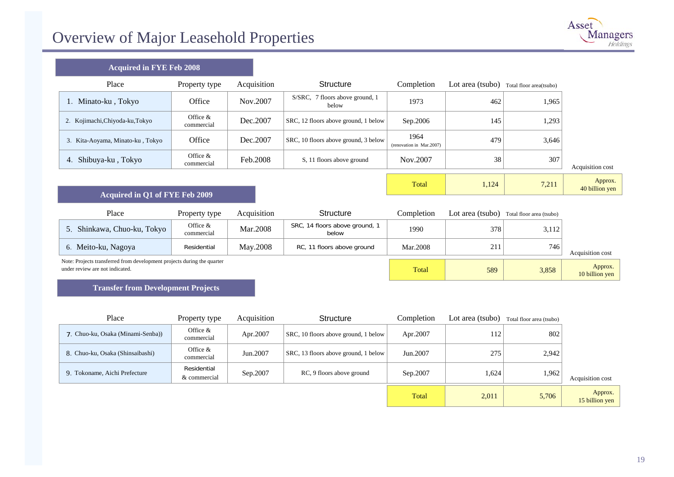

 $1,124$   $7,211$   $40$  billion yen

| <b>Acquired in FYE Feb 2008</b> |  |  |  |  |  |
|---------------------------------|--|--|--|--|--|
|---------------------------------|--|--|--|--|--|

| Place                            | Property type            | Acquisition | Structure                                   | Completion                       | Lot area (tsubo) | Total floor area(tsubo) |                  |
|----------------------------------|--------------------------|-------------|---------------------------------------------|----------------------------------|------------------|-------------------------|------------------|
| 1. Minato-ku, Tokyo              | Office                   | Nov.2007    | 7 floors above ground, 1<br>S/SRC.<br>below | 1973                             | 462              | 1,965                   |                  |
| 2. Kojimachi, Chiyoda-ku, Tokyo  | Office $&$<br>commercial | Dec. 2007   | SRC, 12 floors above ground, 1 below        | Sep.2006                         | 145              | 1,293                   |                  |
| 3. Kita-Aoyama, Minato-ku, Tokyo | Office                   | Dec.2007    | SRC, 10 floors above ground, 3 below        | 1964<br>(renovation in Mar.2007) | 479              | 3,646                   |                  |
| 4. Shibuya-ku, Tokyo             | Office $&$<br>commercial | Feb.2008    | S, 11 floors above ground                   | Nov.2007                         | 38               | 307                     | Acquisition cost |
|                                  |                          |             |                                             |                                  |                  |                         |                  |

#### **Acq uired i n Q1 of FYE Feb 2009**

| Place                                                                                                      | Property type            | Acquisition | <b>Structure</b>                        | Completion | Lot area (tsubo) | Total floor area (tsubo) |                           |
|------------------------------------------------------------------------------------------------------------|--------------------------|-------------|-----------------------------------------|------------|------------------|--------------------------|---------------------------|
| Shinkawa, Chuo-ku, Tokyo                                                                                   | Office $&$<br>commercial | Mar.2008    | SRC, 14 floors above ground, 1<br>below | 1990       | 378              | 3,112                    |                           |
| 6. Meito-ku, Nagoya                                                                                        | Residential              | May.2008    | RC, 11 floors above ground              | Mar.2008   | 211              | 746                      | Acquisition cost          |
| Note: Projects transferred from development projects during the quarter<br>under review are not indicated. |                          |             |                                         |            | 589              | 3,858                    | Approx.<br>10 billion yen |

Total

#### **Transfer fro m Developme nt Projects**

| Place                             | Property type               | Acquisition | Structure                            | Completion | Lot area (tsubo) | Total floor area (tsubo) |                           |
|-----------------------------------|-----------------------------|-------------|--------------------------------------|------------|------------------|--------------------------|---------------------------|
| 7. Chuo-ku, Osaka (Minami-Senba)) | Office $&$<br>commercial    | Apr.2007    | SRC, 10 floors above ground, 1 below | Apr.2007   | 112              | 802                      |                           |
| 8. Chuo-ku, Osaka (Shinsaibashi)  | Office $&$<br>commercial    | Jun.2007    | SRC, 13 floors above ground, 1 below | Jun.2007   | 275              | 2,942                    |                           |
| 9. Tokoname, Aichi Prefecture     | Residential<br>& commercial | Sep.2007    | RC, 9 floors above ground            | Sep.2007   | 1,624            | 1,962                    | Acquisition cost          |
|                                   |                             |             |                                      | Total      | 2,011            | 5,706                    | Approx.<br>15 billion yen |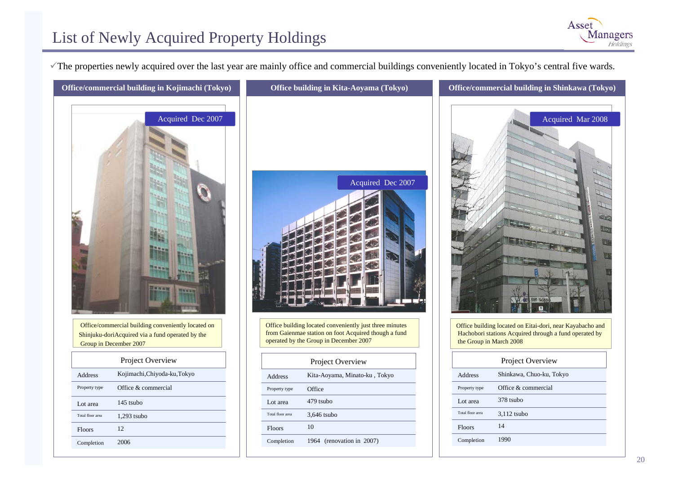<sup>9</sup>The properti es newly acquired over the l ast year are mainly offic e and commercial buildings conveniently loc ated in Tokyo's central five wards.



|                  | Project Overview             |
|------------------|------------------------------|
| Address          | Kojimachi, Chiyoda-ku, Tokyo |
| Property type    | Office & commercial          |
| Lot area         | 145 tsubo                    |
| Total floor area | $1.293$ tsubo                |
| Floors           | 12                           |
| Completion       | 2006                         |
|                  |                              |





Asset

**Managers** 

Office building located on Eitai-dori, near Kayabacho and Hachobori stations Acquired through a fund operated by the Group in March 2008

| Project Overview |                          |  |  |
|------------------|--------------------------|--|--|
| Address          | Shinkawa, Chuo-ku, Tokyo |  |  |
| Property type    | Office & commercial      |  |  |
| Lot area         | 378 tsubo                |  |  |
| Total floor area | $3,112$ tsubo            |  |  |
| Floors           | 14                       |  |  |
| Completion       | 1990                     |  |  |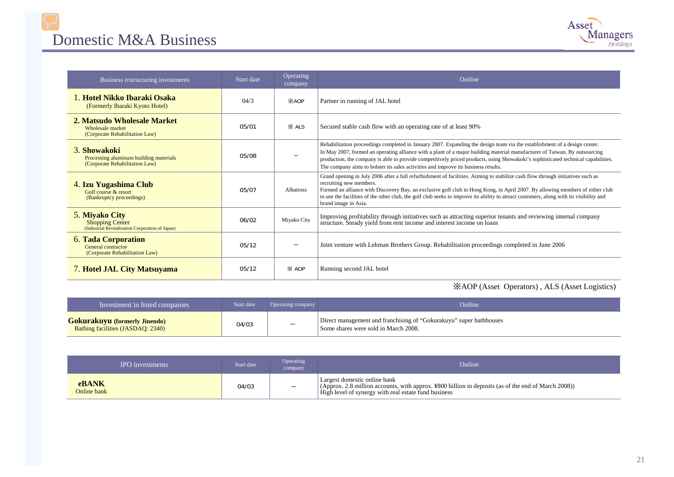### Domestic M&A Business



| Business restructuring investments                                                       | Start date | Operating<br>company | Outline                                                                                                                                                                                                                                                                                                                                                                                                                                                                            |
|------------------------------------------------------------------------------------------|------------|----------------------|------------------------------------------------------------------------------------------------------------------------------------------------------------------------------------------------------------------------------------------------------------------------------------------------------------------------------------------------------------------------------------------------------------------------------------------------------------------------------------|
| 1. Hotel Nikko Ibaraki Osaka<br>(Formerly Ibaraki Kyoto Hotel)                           | 04/3       | <b>XAOP</b>          | Partner in running of JAL hotel                                                                                                                                                                                                                                                                                                                                                                                                                                                    |
| 2. Matsudo Wholesale Market<br>Wholesale market<br>(Corporate Rehabilitation Law)        | 05/01      | $\times$ ALS         | Secured stable cash flow with an operating rate of at least 90%                                                                                                                                                                                                                                                                                                                                                                                                                    |
| 3. Showakoki<br>Processing aluminum building materials<br>(Corporate Rehabilitation Law) | 05/08      |                      | Rehabilitation proceedings completed in January 2007. Expanding the design team via the establishment of a design center.<br>In May 2007, formed an operating alliance with a plant of a major building material manufacturer of Taiwan. By outsourcing<br>production, the company is able to provide competitively priced products, using Showakoki's sophisticated technical capabilities.<br>The company aims to bolster its sales activities and improve its business results. |
| 4. Izu Yugashima Club<br>Golf course & resort<br>(Bankruptcy proceedings)                | 05/07      | Albatross            | Grand opening in July 2006 after a full refurbishment of facilities. Aiming to stabilize cash flow through initiatives such as<br>recruiting new members.<br>Formed an alliance with Discovery Bay, an exclusive golf club in Hong Kong, in April 2007. By allowing members of either club<br>to use the facilities of the other club, the golf club seeks to improve its ability to attract customers, along with its visibility and<br>brand image in Asia.                      |
| 5. Miyako City<br>Shopping Center<br>(Industrial Revitalization Corporation of Japan)    | 06/02      | Miyako City          | Improving profitability through initiatives such as attracting superior tenants and reviewing internal company<br>structure. Steady yield from rent income and interest income on loans                                                                                                                                                                                                                                                                                            |
| <b>6. Tada Corporation</b><br>General contractor<br>(Corporate Rehabilitation Law)       | 05/12      |                      | Joint venture with Lehman Brothers Group. Rehabilitation proceedings completed in June 2006                                                                                                                                                                                                                                                                                                                                                                                        |
| 7. Hotel JAL City Matsuyama                                                              | 05/12      | $\times$ AOP         | Running second JAL hotel                                                                                                                                                                                                                                                                                                                                                                                                                                                           |

### ※AOP (Asset Operators) , ALS (Asset Logistics)

| Investment in listed companies                                                   | Start date | Operating company        | Outline                                                                                                    |
|----------------------------------------------------------------------------------|------------|--------------------------|------------------------------------------------------------------------------------------------------------|
| <b>Gokurakuyu</b> (formerly Jinendo)<br><b>Bathing facilities (JASDAQ: 2340)</b> | 04/03      | $\overline{\phantom{0}}$ | Direct management and franchising of "Gokurakuyu" super bathhouses<br>Some shares were sold in March 2008. |

| <b>IPO</b> investments      | Start date | Operating<br>company     | Outline                                                                                                                                                                                     |
|-----------------------------|------------|--------------------------|---------------------------------------------------------------------------------------------------------------------------------------------------------------------------------------------|
| <b>eBANK</b><br>Online bank | 04/03      | $\overline{\phantom{m}}$ | Largest domestic online bank<br>(Approx. 2.8 million accounts, with approx. ¥800 billion in deposits (as of the end of March 2008))<br>High level of synergy with real estate fund business |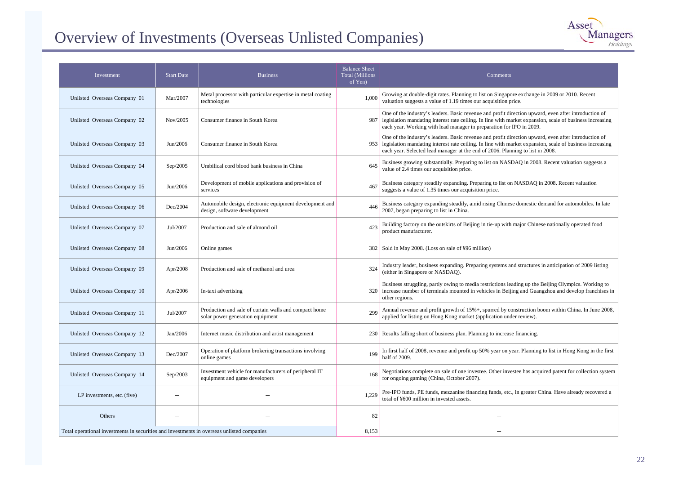# Overview of Investments (Overseas Unlisted Companies)

| Investment                                                                                 | <b>Start Date</b> | <b>Business</b>                                                                           | <b>Balance Sheet</b><br><b>Total (Millions</b><br>of Yen) | Comments                                                                                                                                                                                                                                                                                           |
|--------------------------------------------------------------------------------------------|-------------------|-------------------------------------------------------------------------------------------|-----------------------------------------------------------|----------------------------------------------------------------------------------------------------------------------------------------------------------------------------------------------------------------------------------------------------------------------------------------------------|
| Unlisted Overseas Company 01                                                               | Mar/2007          | Metal processor with particular expertise in metal coating<br>technologies                | 1,000                                                     | Growing at double-digit rates. Planning to list on Singapore exchange in 2009 or 2010. Recent<br>valuation suggests a value of 1.19 times our acquisition price.                                                                                                                                   |
| Unlisted Overseas Company 02                                                               | Nov/2005          | Consumer finance in South Korea                                                           | 987                                                       | One of the industry's leaders. Basic revenue and profit direction upward, even after introduction of<br>legislation mandating interest rate ceiling. In line with market expansion, scale of business increasing<br>each year. Working with lead manager in preparation for IPO in 2009.           |
| Unlisted Overseas Company 03                                                               | Jun/2006          | Consumer finance in South Korea                                                           | 953                                                       | One of the industry's leaders. Basic revenue and profit direction upward, even after introduction of<br>legislation mandating interest rate ceiling. In line with market expansion, scale of business increasing<br>each year. Selected lead manager at the end of 2006. Planning to list in 2008. |
| Unlisted Overseas Company 04                                                               | Sep/2005          | Umbilical cord blood bank business in China                                               | 645                                                       | Business growing substantially. Preparing to list on NASDAQ in 2008. Recent valuation suggests a<br>value of 2.4 times our acquisition price.                                                                                                                                                      |
| Unlisted Overseas Company 05                                                               | Jun/2006          | Development of mobile applications and provision of<br>services                           | 467                                                       | Business category steadily expanding. Preparing to list on NASDAQ in 2008. Recent valuation<br>suggests a value of 1.35 times our acquisition price.                                                                                                                                               |
| Unlisted Overseas Company 06                                                               | Dec/2004          | Automobile design, electronic equipment development and<br>design, software development   | 446                                                       | Business category expanding steadily, amid rising Chinese domestic demand for automobiles. In late<br>2007, began preparing to list in China.                                                                                                                                                      |
| Unlisted Overseas Company 07                                                               | Jul/2007          | Production and sale of almond oil                                                         | 423                                                       | Building factory on the outskirts of Beijing in tie-up with major Chinese nationally operated food<br>product manufacturer.                                                                                                                                                                        |
| Unlisted Overseas Company 08                                                               | Jun/2006          | Online games                                                                              | 382                                                       | Sold in May 2008. (Loss on sale of ¥96 million)                                                                                                                                                                                                                                                    |
| Unlisted Overseas Company 09                                                               | Apr/2008          | Production and sale of methanol and urea                                                  | 324                                                       | Industry leader, business expanding. Preparing systems and structures in anticipation of 2009 listing<br>(either in Singapore or NASDAQ).                                                                                                                                                          |
| Unlisted Overseas Company 10                                                               | Apr/2006          | In-taxi advertising                                                                       |                                                           | Business struggling, partly owing to media restrictions leading up the Beijing Olympics. Working to<br>320 increase number of terminals mounted in vehicles in Beijing and Guangzhou and develop franchises in<br>other regions.                                                                   |
| Unlisted Overseas Company 11                                                               | Jul/2007          | Production and sale of curtain walls and compact home<br>solar power generation equipment | 299                                                       | Annual revenue and profit growth of 15%+, spurred by construction boom within China. In June 2008,<br>applied for listing on Hong Kong market (application under review).                                                                                                                          |
| Unlisted Overseas Company 12                                                               | Jan/2006          | Internet music distribution and artist management                                         |                                                           | 230 Results falling short of business plan. Planning to increase financing.                                                                                                                                                                                                                        |
| Unlisted Overseas Company 13                                                               | Dec/2007          | Operation of platform brokering transactions involving<br>online games                    | 199                                                       | In first half of 2008, revenue and profit up 50% year on year. Planning to list in Hong Kong in the first<br>half of 2009.                                                                                                                                                                         |
| Unlisted Overseas Company 14                                                               | Sep/2003          | Investment vehicle for manufacturers of peripheral IT<br>equipment and game developers    | 168                                                       | Negotiations complete on sale of one investee. Other investee has acquired patent for collection system<br>for ongoing gaming (China, October 2007).                                                                                                                                               |
| LP investments, etc. (five)                                                                |                   |                                                                                           | 1,229                                                     | Pre-IPO funds, PE funds, mezzanine financing funds, etc., in greater China. Have already recovered a<br>total of ¥600 million in invested assets.                                                                                                                                                  |
| Others                                                                                     |                   |                                                                                           | 82                                                        |                                                                                                                                                                                                                                                                                                    |
| Total operational investments in securities and investments in overseas unlisted companies |                   |                                                                                           | 8,153                                                     |                                                                                                                                                                                                                                                                                                    |

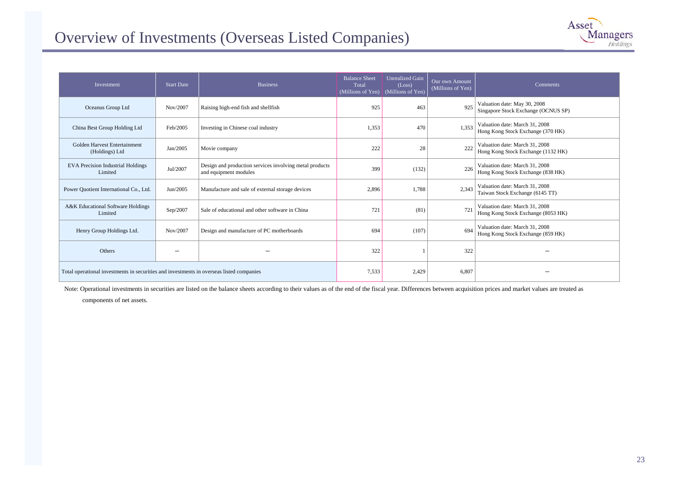### Overview of Investments (Overseas Listed Companies)



| Investment                                                                               | <b>Start Date</b> | <b>Business</b>                                                                  | <b>Balance Sheet</b><br>Total<br>(Millions of Yen) | Unrealized Gain<br>(Loss)<br>(Millions of Yen) | Our own Amount<br>$(Millions$ of Yen) | Comments                                                             |
|------------------------------------------------------------------------------------------|-------------------|----------------------------------------------------------------------------------|----------------------------------------------------|------------------------------------------------|---------------------------------------|----------------------------------------------------------------------|
| Oceanus Group Ltd                                                                        | Nov/2007          | Raising high-end fish and shellfish                                              | 925                                                | 463                                            | 925                                   | Valuation date: May 30, 2008<br>Singapore Stock Exchange (OCNUS SP)  |
| China Best Group Holding Ltd                                                             | Feb/2005          | Investing in Chinese coal industry                                               | 1,353                                              | 470                                            | 1.353                                 | Valuation date: March 31, 2008<br>Hong Kong Stock Exchange (370 HK)  |
| Golden Harvest Entertainment<br>(Holdings) Ltd                                           | Jan/2005          | Movie company                                                                    | 222                                                | 28                                             | 222                                   | Valuation date: March 31, 2008<br>Hong Kong Stock Exchange (1132 HK) |
| <b>EVA Precision Industrial Holdings</b><br>Limited                                      | Jul/2007          | Design and production services involving metal products<br>and equipment modules | 399                                                | (132)                                          | 226                                   | Valuation date: March 31, 2008<br>Hong Kong Stock Exchange (838 HK)  |
| Power Quotient International Co., Ltd.                                                   | Jun/2005          | Manufacture and sale of external storage devices                                 | 2,896                                              | 1,788                                          | 2.343                                 | Valuation date: March 31, 2008<br>Taiwan Stock Exchange (6145 TT)    |
| A&K Educational Software Holdings<br>Limited                                             | Sep/2007          | Sale of educational and other software in China                                  | 721                                                | (81)                                           | 721                                   | Valuation date: March 31, 2008<br>Hong Kong Stock Exchange (8053 HK) |
| Henry Group Holdings Ltd.                                                                | Nov/2007          | Design and manufacture of PC motherboards                                        | 694                                                | (107)                                          | 694                                   | Valuation date: March 31, 2008<br>Hong Kong Stock Exchange (859 HK)  |
| Others                                                                                   |                   |                                                                                  | 322                                                |                                                | 322                                   |                                                                      |
| Total operational investments in securities and investments in overseas listed companies |                   |                                                                                  | 7,533                                              | 2,429                                          | 6,807                                 |                                                                      |

Note: Operational investments in securities are listed on the balance sheets according to their values as of the end of the fiscal year. Differences between acquisition prices and market values are treated as

co mponents of net assets.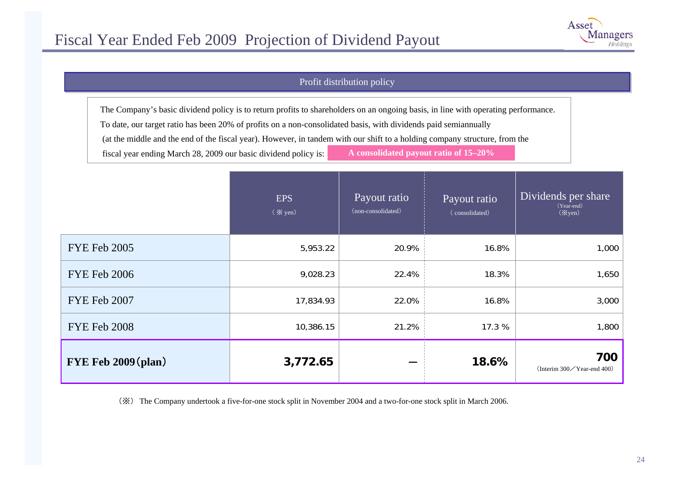

### Profit distribution policy

The Company's basic dividend policy is to return profits to shareholders on an ongoing basis, in line with operating performance.

To date, our target ratio has been 20% of profits on a non-consolidated basis, with dividends paid semiannually

(at the middle and the end of the fiscal year). However, in tandem with our shift to a holding company structure, from the

fiscal year ending March 28, 2009 our basic dividend policy is: **A consolidated payout ratio of 15–20%**

|                     | <b>EPS</b><br>$(\times \text{yen})$ | Payout ratio<br>(non-consolidated) | Payout ratio<br>(consolidated) | Dividends per share<br>(Year-end)<br>$(\times$ yen) |
|---------------------|-------------------------------------|------------------------------------|--------------------------------|-----------------------------------------------------|
| <b>FYE Feb 2005</b> | 5,953.22                            | 20.9%                              | 16.8%                          | 1,000                                               |
| <b>FYE Feb 2006</b> | 9,028.23                            | 22.4%                              | 18.3%                          | 1,650                                               |
| FYE Feb 2007        | 17,834.93                           | 22.0%                              | 16.8%                          | 3,000                                               |
| <b>FYE Feb 2008</b> | 10,386.15                           | 21.2%                              | 17.3 %                         | 1,800                                               |
| FYE Feb 2009 (plan) | 3,772.65                            |                                    | 18.6%                          | 700<br>(Interim 300/Year-end 400)                   |

(※) The Company undertook a five-for-one stock split in November 2004 and a two-for-one stock split in March 2006.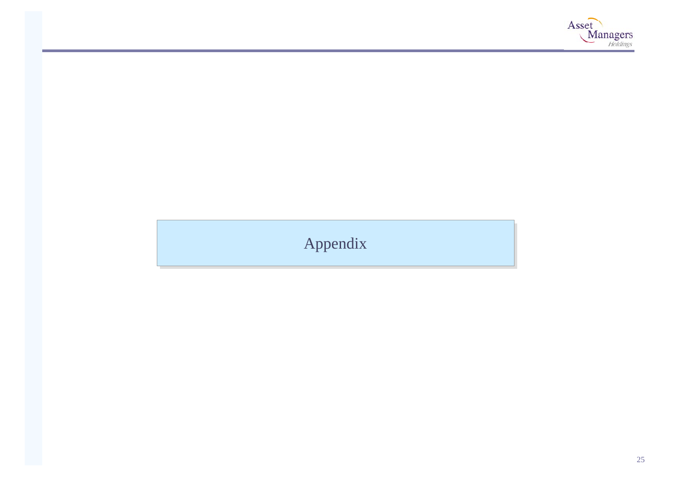

# Appendix Appendix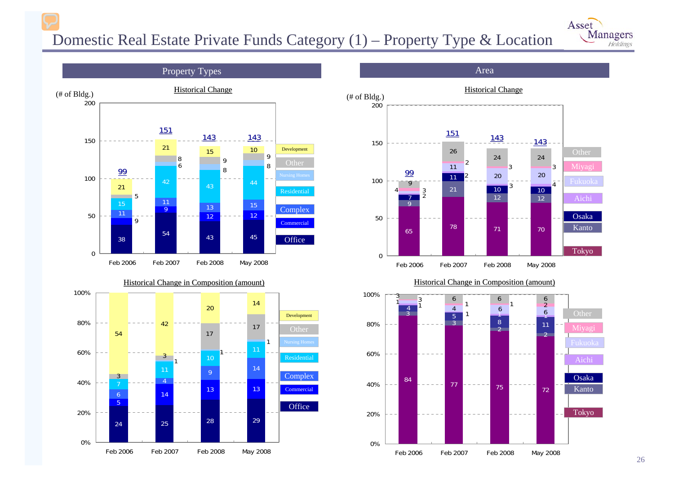# Domestic Real Estate Private Funds Category (1) – Property Type & Location









#### Historical Change in Composition (amount)



#### Area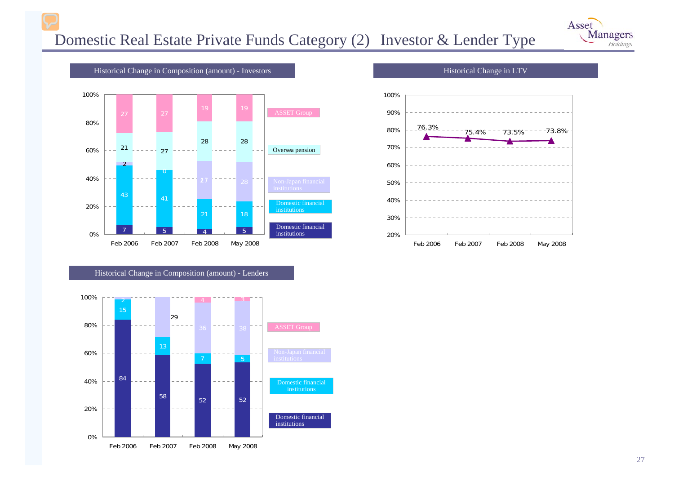





Historical Change in Composition (amount) - Lenders





Historical C hange i n LTV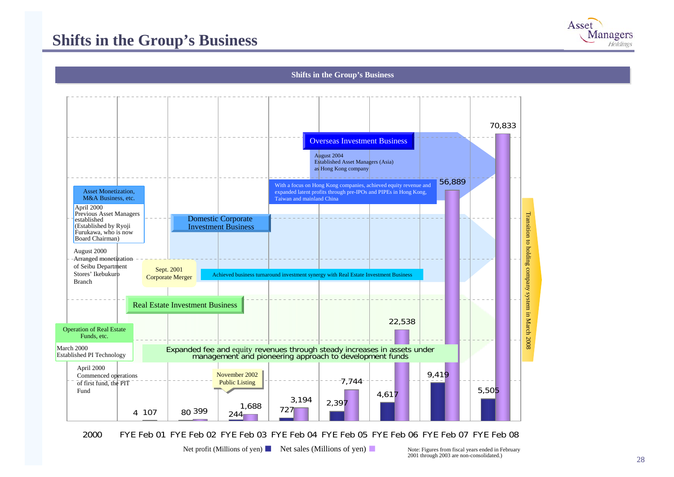## **Shifts in the Group's Business**



#### **Shifts in the Group's Business**



2000FYE Feb 01 FYE Feb 02 FYE Feb 03 FYE Feb 04 FYE Feb 05 FYE Feb 06 FYE Feb 07 FYE Feb 08

Net profit (Millions of yen) Net sales (Millions of yen) Note: Figures from fiscal years ended in February

2001 through 2003 are non-consolidated.)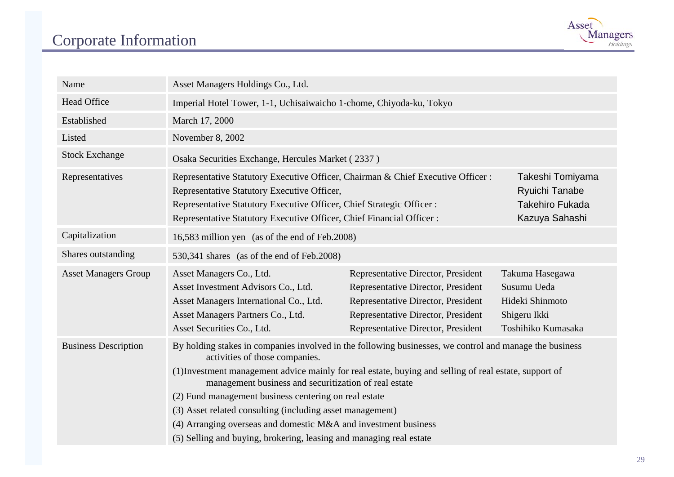# Corporate Information



| Name                        | Asset Managers Holdings Co., Ltd.                                                                                                                                                                                                                                                                                                                                                                                                                                                                                                                                            |                                                                                                                                                                                            |                                                                                         |  |  |  |
|-----------------------------|------------------------------------------------------------------------------------------------------------------------------------------------------------------------------------------------------------------------------------------------------------------------------------------------------------------------------------------------------------------------------------------------------------------------------------------------------------------------------------------------------------------------------------------------------------------------------|--------------------------------------------------------------------------------------------------------------------------------------------------------------------------------------------|-----------------------------------------------------------------------------------------|--|--|--|
| <b>Head Office</b>          | Imperial Hotel Tower, 1-1, Uchisaiwaicho 1-chome, Chiyoda-ku, Tokyo                                                                                                                                                                                                                                                                                                                                                                                                                                                                                                          |                                                                                                                                                                                            |                                                                                         |  |  |  |
| Established                 | March 17, 2000                                                                                                                                                                                                                                                                                                                                                                                                                                                                                                                                                               |                                                                                                                                                                                            |                                                                                         |  |  |  |
| Listed                      | November 8, 2002                                                                                                                                                                                                                                                                                                                                                                                                                                                                                                                                                             |                                                                                                                                                                                            |                                                                                         |  |  |  |
| <b>Stock Exchange</b>       | Osaka Securities Exchange, Hercules Market (2337)                                                                                                                                                                                                                                                                                                                                                                                                                                                                                                                            |                                                                                                                                                                                            |                                                                                         |  |  |  |
| Representatives             | Representative Statutory Executive Officer, Chairman & Chief Executive Officer:<br>Takeshi Tomiyama<br>Representative Statutory Executive Officer,<br><b>Ryuichi Tanabe</b><br><b>Takehiro Fukada</b><br>Representative Statutory Executive Officer, Chief Strategic Officer:<br>Representative Statutory Executive Officer, Chief Financial Officer:<br>Kazuya Sahashi                                                                                                                                                                                                      |                                                                                                                                                                                            |                                                                                         |  |  |  |
| Capitalization              | 16,583 million yen (as of the end of Feb.2008)                                                                                                                                                                                                                                                                                                                                                                                                                                                                                                                               |                                                                                                                                                                                            |                                                                                         |  |  |  |
| Shares outstanding          | 530,341 shares (as of the end of Feb.2008)                                                                                                                                                                                                                                                                                                                                                                                                                                                                                                                                   |                                                                                                                                                                                            |                                                                                         |  |  |  |
| <b>Asset Managers Group</b> | Asset Managers Co., Ltd.<br>Asset Investment Advisors Co., Ltd.<br>Asset Managers International Co., Ltd.<br>Asset Managers Partners Co., Ltd.<br>Asset Securities Co., Ltd.                                                                                                                                                                                                                                                                                                                                                                                                 | Representative Director, President<br>Representative Director, President<br>Representative Director, President<br>Representative Director, President<br>Representative Director, President | Takuma Hasegawa<br>Susumu Ueda<br>Hideki Shinmoto<br>Shigeru Ikki<br>Toshihiko Kumasaka |  |  |  |
| <b>Business Description</b> | By holding stakes in companies involved in the following businesses, we control and manage the business<br>activities of those companies.<br>(1) Investment management advice mainly for real estate, buying and selling of real estate, support of<br>management business and securitization of real estate<br>(2) Fund management business centering on real estate<br>(3) Asset related consulting (including asset management)<br>(4) Arranging overseas and domestic M&A and investment business<br>(5) Selling and buying, brokering, leasing and managing real estate |                                                                                                                                                                                            |                                                                                         |  |  |  |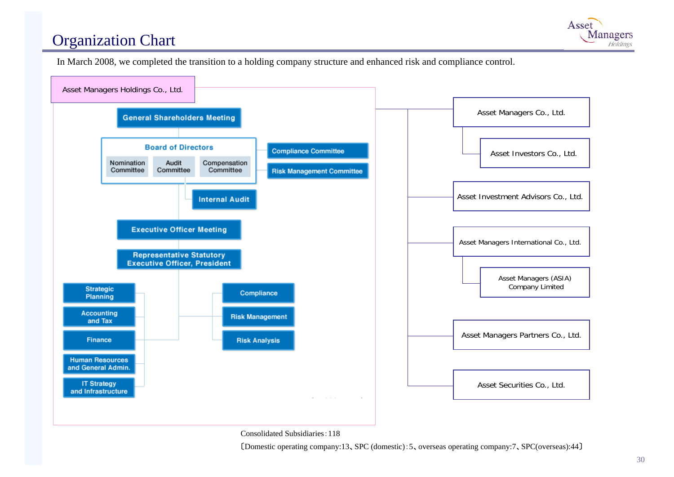# Organization Chart



In March 2008, we completed the transition to a holding company structure and enhanced risk and compliance control.



Consolidated Subsidiaries:118

〔Domestic operating company:13、SPC (domestic):5、overseas operating company:7、SPC(overseas):44〕